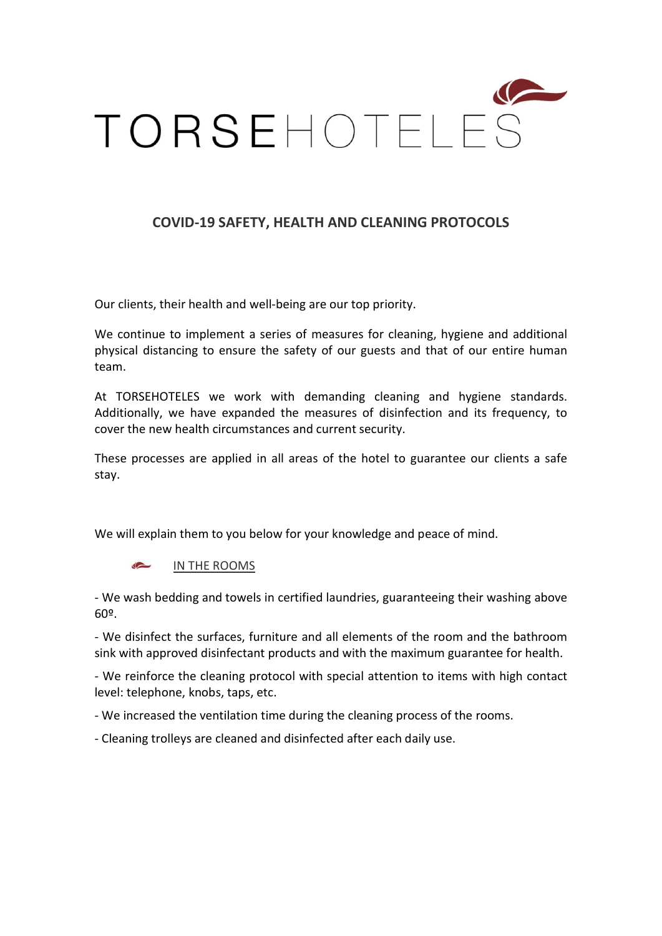

## COVID-19 SAFETY, HEALTH AND CLEANING PROTOCOLS

Our clients, their health and well-being are our top priority.

We continue to implement a series of measures for cleaning, hygiene and additional physical distancing to ensure the safety of our guests and that of our entire human team.

At TORSEHOTELES we work with demanding cleaning and hygiene standards. Additionally, we have expanded the measures of disinfection and its frequency, to cover the new health circumstances and current security.

These processes are applied in all areas of the hotel to guarantee our clients a safe stay.

We will explain them to you below for your knowledge and peace of mind.

IN THE ROOMS

- We wash bedding and towels in certified laundries, guaranteeing their washing above 60º.

- We disinfect the surfaces, furniture and all elements of the room and the bathroom sink with approved disinfectant products and with the maximum guarantee for health.

- We reinforce the cleaning protocol with special attention to items with high contact level: telephone, knobs, taps, etc.

- We increased the ventilation time during the cleaning process of the rooms.

- Cleaning trolleys are cleaned and disinfected after each daily use.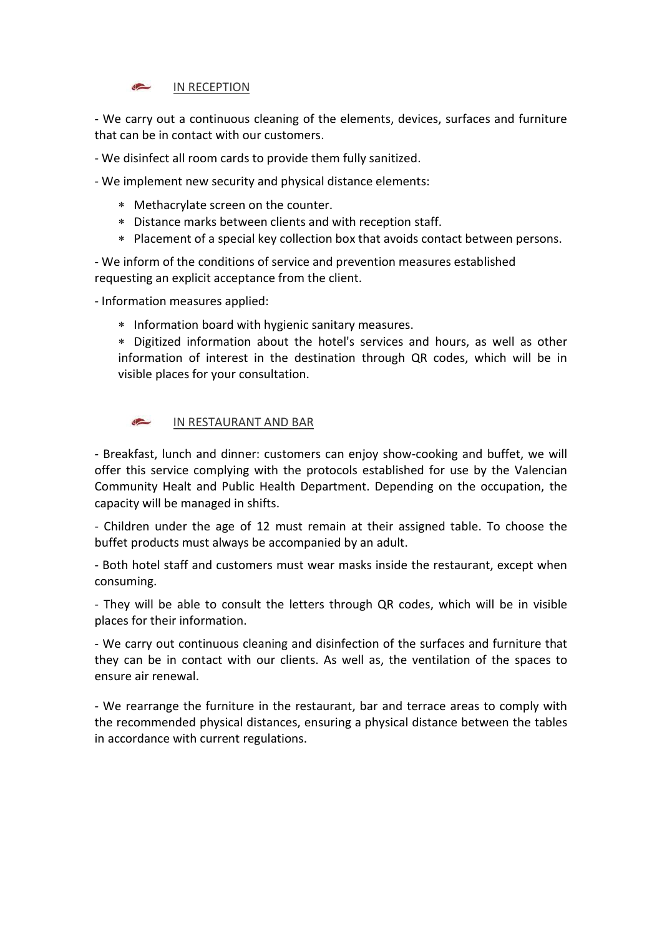

- We carry out a continuous cleaning of the elements, devices, surfaces and furniture that can be in contact with our customers.

- We disinfect all room cards to provide them fully sanitized.

- We implement new security and physical distance elements:

- Methacrylate screen on the counter.
- Distance marks between clients and with reception staff.
- Placement of a special key collection box that avoids contact between persons.

- We inform of the conditions of service and prevention measures established requesting an explicit acceptance from the client.

- Information measures applied:

\* Information board with hygienic sanitary measures.

 Digitized information about the hotel's services and hours, as well as other information of interest in the destination through QR codes, which will be in visible places for your consultation.

 $\rightarrow$ IN RESTAURANT AND BAR

- Breakfast, lunch and dinner: customers can enjoy show-cooking and buffet, we will offer this service complying with the protocols established for use by the Valencian Community Healt and Public Health Department. Depending on the occupation, the capacity will be managed in shifts.

- Children under the age of 12 must remain at their assigned table. To choose the buffet products must always be accompanied by an adult.

- Both hotel staff and customers must wear masks inside the restaurant, except when consuming.

- They will be able to consult the letters through QR codes, which will be in visible places for their information.

- We carry out continuous cleaning and disinfection of the surfaces and furniture that they can be in contact with our clients. As well as, the ventilation of the spaces to ensure air renewal.

- We rearrange the furniture in the restaurant, bar and terrace areas to comply with the recommended physical distances, ensuring a physical distance between the tables in accordance with current regulations.